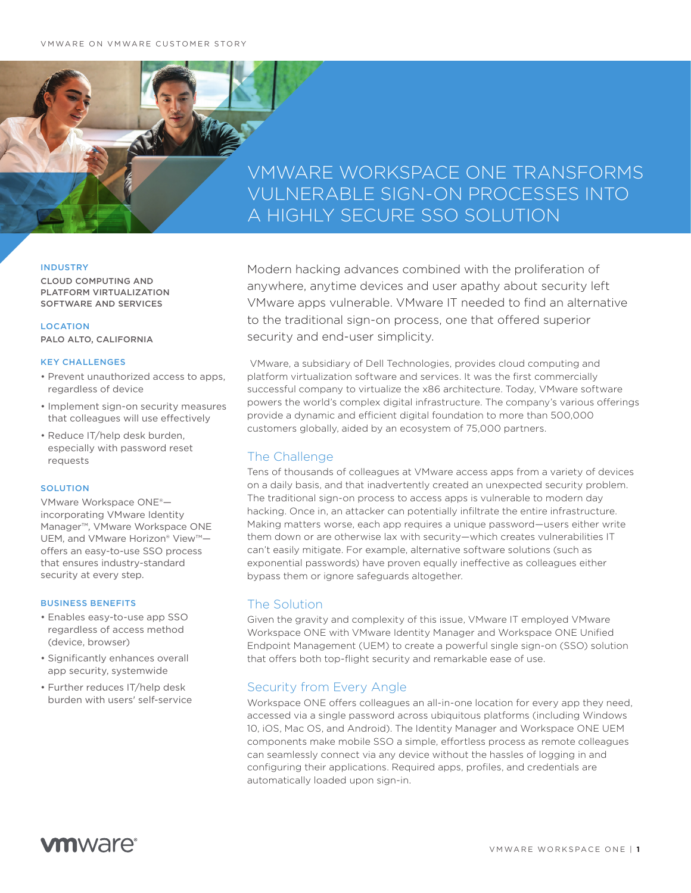# VMWARE WORKSPACE ONE TRANSFORMS VULNERABLE SIGN-ON PROCESSES INTO A HIGHLY SECURE SSO SOLUTION

### INDUSTRY

CLOUD COMPUTING AND PLATFORM VIRTUALIZATION SOFTWARE AND SERVICES

LOCATION PALO ALTO, CALIFORNIA

#### KEY CHALLENGES

- Prevent unauthorized access to apps, regardless of device
- Implement sign-on security measures that colleagues will use effectively
- Reduce IT/help desk burden, especially with password reset requests

#### **SOLUTION**

VMware Workspace ONE® incorporating VMware Identity Manager™, VMware Workspace ONE UEM, and VMware Horizon® View™ offers an easy-to-use SSO process that ensures industry-standard security at every step.

#### BUSINESS BENEFITS

- Enables easy-to-use app SSO regardless of access method (device, browser)
- Significantly enhances overall app security, systemwide
- Further reduces IT/help desk burden with users' self-service

Modern hacking advances combined with the proliferation of anywhere, anytime devices and user apathy about security left VMware apps vulnerable. VMware IT needed to find an alternative to the traditional sign-on process, one that offered superior security and end-user simplicity.

 VMware, a subsidiary of Dell Technologies, provides cloud computing and platform virtualization software and services. It was the first commercially successful company to virtualize the x86 architecture. Today, VMware software powers the world's complex digital infrastructure. The company's various offerings provide a dynamic and efficient digital foundation to more than 500,000 customers globally, aided by an ecosystem of 75,000 partners.

# The Challenge

Tens of thousands of colleagues at VMware access apps from a variety of devices on a daily basis, and that inadvertently created an unexpected security problem. The traditional sign-on process to access apps is vulnerable to modern day hacking. Once in, an attacker can potentially infiltrate the entire infrastructure. Making matters worse, each app requires a unique password—users either write them down or are otherwise lax with security—which creates vulnerabilities IT can't easily mitigate. For example, alternative software solutions (such as exponential passwords) have proven equally ineffective as colleagues either bypass them or ignore safeguards altogether.

## The Solution

Given the gravity and complexity of this issue, VMware IT employed VMware Workspace ONE with VMware Identity Manager and Workspace ONE Unified Endpoint Management (UEM) to create a powerful single sign-on (SSO) solution that offers both top-flight security and remarkable ease of use.

# Security from Every Angle

Workspace ONE offers colleagues an all-in-one location for every app they need, accessed via a single password across ubiquitous platforms (including Windows 10, iOS, Mac OS, and Android). The Identity Manager and Workspace ONE UEM components make mobile SSO a simple, effortless process as remote colleagues can seamlessly connect via any device without the hassles of logging in and configuring their applications. Required apps, profiles, and credentials are automatically loaded upon sign-in.